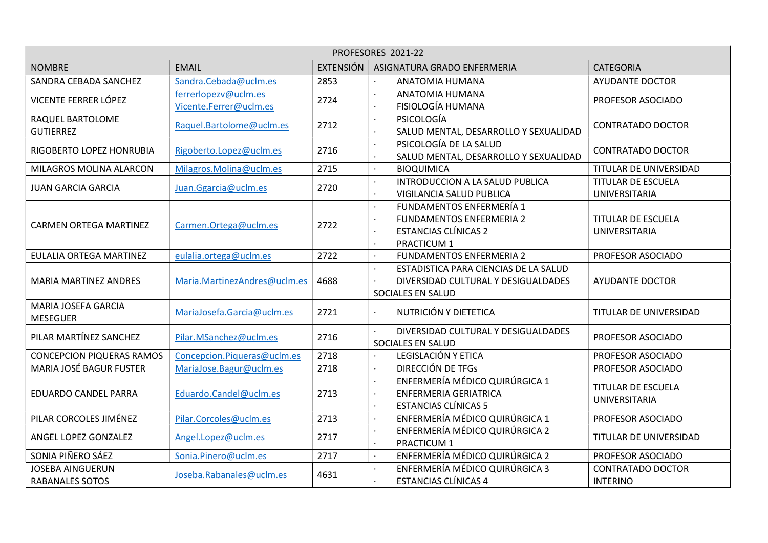| PROFESORES 2021-22                                |                                                |                  |                                                                                                                                            |                                             |  |  |
|---------------------------------------------------|------------------------------------------------|------------------|--------------------------------------------------------------------------------------------------------------------------------------------|---------------------------------------------|--|--|
| <b>NOMBRE</b>                                     | <b>EMAIL</b>                                   | <b>EXTENSIÓN</b> | ASIGNATURA GRADO ENFERMERIA                                                                                                                | <b>CATEGORIA</b>                            |  |  |
| SANDRA CEBADA SANCHEZ                             | Sandra.Cebada@uclm.es                          | 2853             | ANATOMIA HUMANA                                                                                                                            | <b>AYUDANTE DOCTOR</b>                      |  |  |
| VICENTE FERRER LÓPEZ                              | ferrerlopezv@uclm.es<br>Vicente.Ferrer@uclm.es | 2724             | ANATOMIA HUMANA<br>FISIOLOGÍA HUMANA                                                                                                       | PROFESOR ASOCIADO                           |  |  |
| RAQUEL BARTOLOME<br><b>GUTIERREZ</b>              | Raquel.Bartolome@uclm.es                       | 2712             | PSICOLOGÍA<br>$\bullet$<br>SALUD MENTAL, DESARROLLO Y SEXUALIDAD                                                                           | <b>CONTRATADO DOCTOR</b>                    |  |  |
| RIGOBERTO LOPEZ HONRUBIA                          | Rigoberto.Lopez@uclm.es                        | 2716             | PSICOLOGÍA DE LA SALUD<br>$\bullet$<br>SALUD MENTAL, DESARROLLO Y SEXUALIDAD                                                               | <b>CONTRATADO DOCTOR</b>                    |  |  |
| MILAGROS MOLINA ALARCON                           | Milagros.Molina@uclm.es                        | 2715             | <b>BIOQUIMICA</b><br>$\bullet$                                                                                                             | TITULAR DE UNIVERSIDAD                      |  |  |
| <b>JUAN GARCIA GARCIA</b>                         | Juan.Ggarcia@uclm.es                           | 2720             | INTRODUCCION A LA SALUD PUBLICA<br>VIGILANCIA SALUD PUBLICA                                                                                | <b>TITULAR DE ESCUELA</b><br>UNIVERSITARIA  |  |  |
| <b>CARMEN ORTEGA MARTINEZ</b>                     | Carmen.Ortega@uclm.es                          | 2722             | FUNDAMENTOS ENFERMERÍA 1<br><b>FUNDAMENTOS ENFERMERIA 2</b><br>$\bullet$<br><b>ESTANCIAS CLÍNICAS 2</b><br>$\bullet$<br><b>PRACTICUM 1</b> | <b>TITULAR DE ESCUELA</b><br>UNIVERSITARIA  |  |  |
| EULALIA ORTEGA MARTINEZ                           | eulalia.ortega@uclm.es                         | 2722             | <b>FUNDAMENTOS ENFERMERIA 2</b>                                                                                                            | PROFESOR ASOCIADO                           |  |  |
| <b>MARIA MARTINEZ ANDRES</b>                      | Maria.MartinezAndres@uclm.es                   | 4688             | ESTADISTICA PARA CIENCIAS DE LA SALUD<br>DIVERSIDAD CULTURAL Y DESIGUALDADES<br>SOCIALES EN SALUD                                          | <b>AYUDANTE DOCTOR</b>                      |  |  |
| MARIA JOSEFA GARCIA<br><b>MESEGUER</b>            | MariaJosefa.Garcia@uclm.es                     | 2721             | NUTRICIÓN Y DIETETICA                                                                                                                      | TITULAR DE UNIVERSIDAD                      |  |  |
| PILAR MARTÍNEZ SANCHEZ                            | Pilar.MSanchez@uclm.es                         | 2716             | DIVERSIDAD CULTURAL Y DESIGUALDADES<br>SOCIALES EN SALUD                                                                                   | PROFESOR ASOCIADO                           |  |  |
| <b>CONCEPCION PIQUERAS RAMOS</b>                  | Concepcion.Piqueras@uclm.es                    | 2718             | LEGISLACIÓN Y ETICA                                                                                                                        | PROFESOR ASOCIADO                           |  |  |
| <b>MARIA JOSÉ BAGUR FUSTER</b>                    | MariaJose.Bagur@uclm.es                        | 2718             | DIRECCIÓN DE TFGS<br>$\bullet$                                                                                                             | PROFESOR ASOCIADO                           |  |  |
| <b>EDUARDO CANDEL PARRA</b>                       | Eduardo.Candel@uclm.es                         | 2713             | ENFERMERÍA MÉDICO QUIRÚRGICA 1<br><b>ENFERMERIA GERIATRICA</b><br>$\bullet$<br><b>ESTANCIAS CLÍNICAS 5</b>                                 | <b>TITULAR DE ESCUELA</b><br>UNIVERSITARIA  |  |  |
| PILAR CORCOLES JIMÉNEZ                            | Pilar.Corcoles@uclm.es                         | 2713             | ENFERMERÍA MÉDICO QUIRÚRGICA 1<br>$\bullet$                                                                                                | PROFESOR ASOCIADO                           |  |  |
| ANGEL LOPEZ GONZALEZ                              | Angel.Lopez@uclm.es                            | 2717             | ENFERMERÍA MÉDICO QUIRÚRGICA 2<br>$\bullet$<br>PRACTICUM 1                                                                                 | TITULAR DE UNIVERSIDAD                      |  |  |
| SONIA PIÑERO SÁEZ                                 | Sonia.Pinero@uclm.es                           | 2717             | ENFERMERÍA MÉDICO QUIRÚRGICA 2<br>$\cdot$                                                                                                  | PROFESOR ASOCIADO                           |  |  |
| <b>JOSEBA AINGUERUN</b><br><b>RABANALES SOTOS</b> | Joseba.Rabanales@uclm.es                       | 4631             | ENFERMERÍA MÉDICO QUIRÚRGICA 3<br><b>ESTANCIAS CLÍNICAS 4</b>                                                                              | <b>CONTRATADO DOCTOR</b><br><b>INTERINO</b> |  |  |